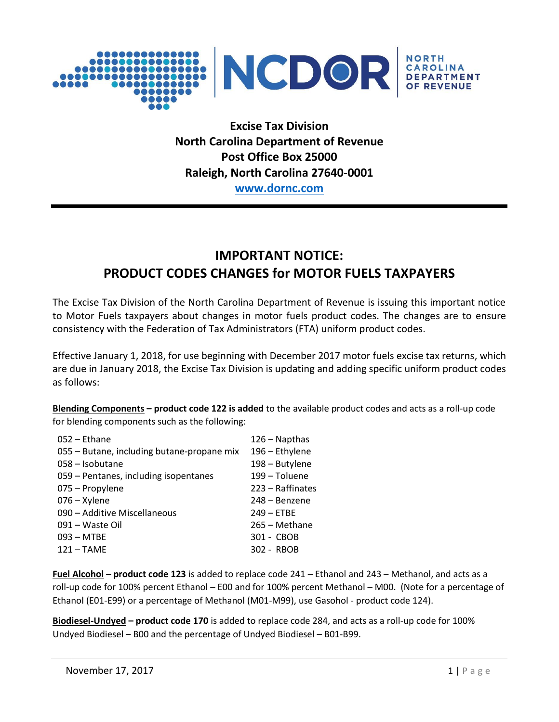

**Excise Tax Division North Carolina Department of Revenue Post Office Box 25000 Raleigh, North Carolina 27640-0001**

**[www.dornc.com](http://www.dornc.com/)**

## **IMPORTANT NOTICE: PRODUCT CODES CHANGES for MOTOR FUELS TAXPAYERS**

The Excise Tax Division of the North Carolina Department of Revenue is issuing this important notice to Motor Fuels taxpayers about changes in motor fuels product codes. The changes are to ensure consistency with the Federation of Tax Administrators (FTA) uniform product codes.

Effective January 1, 2018, for use beginning with December 2017 motor fuels excise tax returns, which are due in January 2018, the Excise Tax Division is updating and adding specific uniform product codes as follows:

**Blending Components – product code 122 is added** to the available product codes and acts as a roll-up code for blending components such as the following:

| $052 -$ Ethane                             | $126 -$ Napthas  |
|--------------------------------------------|------------------|
| 055 – Butane, including butane-propane mix | 196 - Ethylene   |
| 058 - Isobutane                            | 198 - Butylene   |
| 059 – Pentanes, including isopentanes      | 199 – Toluene    |
| 075 - Propylene                            | 223 – Raffinates |
| $076 - X$ ylene                            | 248 – Benzene    |
| 090 – Additive Miscellaneous               | $249 - ETBE$     |
| 091 - Waste Oil                            | 265 - Methane    |
| $093 - MTBE$                               | 301 - CBOB       |
| $121 - TAME$                               | 302 - RBOB       |

**Fuel Alcohol – product code 123** is added to replace code 241 – Ethanol and 243 – Methanol, and acts as a roll-up code for 100% percent Ethanol – E00 and for 100% percent Methanol – M00. (Note for a percentage of Ethanol (E01-E99) or a percentage of Methanol (M01-M99), use Gasohol - product code 124).

**Biodiesel-Undyed – product code 170** is added to replace code 284, and acts as a roll-up code for 100% Undyed Biodiesel – B00 and the percentage of Undyed Biodiesel – B01-B99.